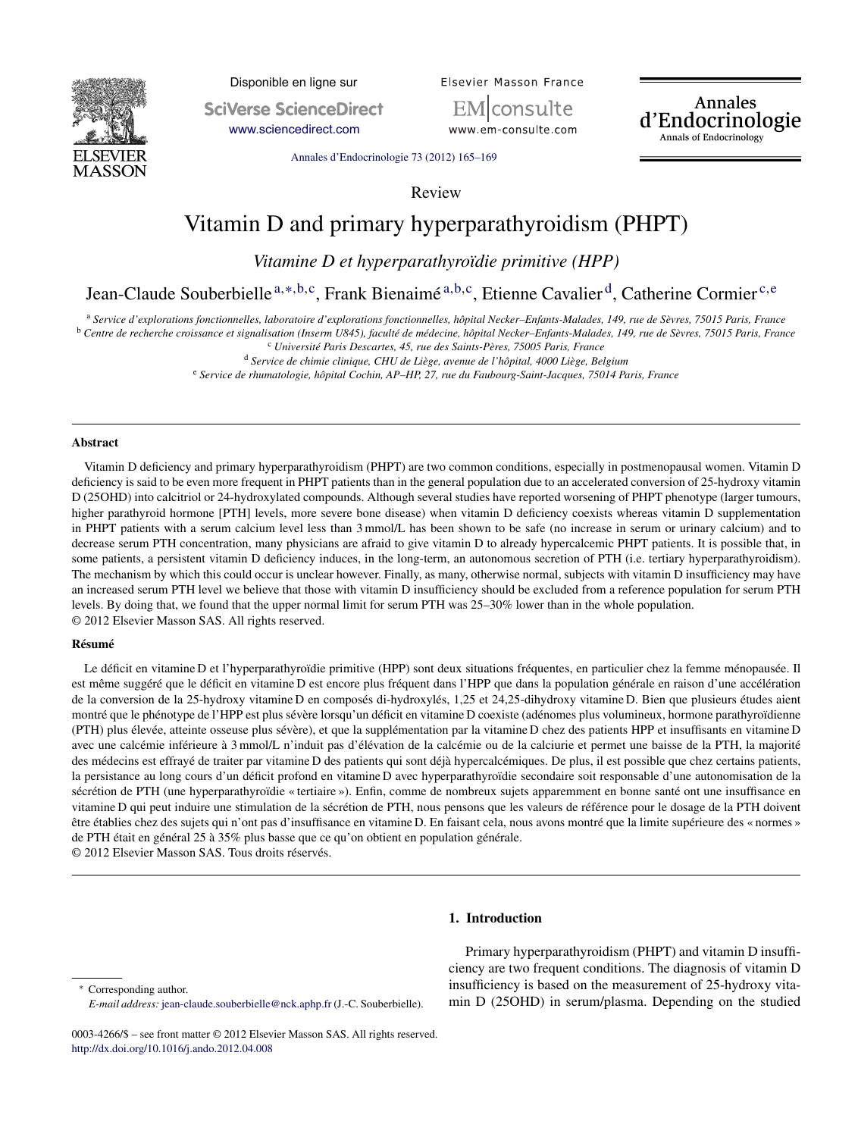

Disponible en ligne sur **SciVerse ScienceDirect** 

[www.sciencedirect.com](http://www.sciencedirect.com/science/journal/00034266)

Elsevier Masson France

consulte www.em-consulte.com Annales<br>d'Endocrinologie Annals of Endocrinology

Annales [d'Endocrinologie](dx.doi.org/10.1016/j.ando.2012.04.008) 73 (2012) 165–169

Review

# Vitamin D and primary hyperparathyroidism (PHPT)

*Vitamine D et hyperparathyroïdie primitive (HPP)*

Jean-Claude Souberbielle <sup>a</sup>,∗,b,c, Frank Bienaimé <sup>a</sup>,b,c, Etienne Cavalier d, Catherine Cormier <sup>c</sup>,<sup>e</sup>

a Service d'explorations fonctionnelles, laboratoire d'explorations fonctionnelles, hôpital Necker-Enfants-Malades, 149, rue de Sèvres, 75015 Paris, France <sup>b</sup> Centre de recherche croissance et signalisation (Inserm U845), faculté de médecine, hôpital Necker-Enfants-Malades, 149, rue de Sèvres, 75015 Paris, France

<sup>c</sup> *Université Paris Descartes, 45, rue des Saints-Pères, 75005 Paris, France*

<sup>d</sup> *Service de chimie clinique, CHU de Liège, avenue de l'hôpital, 4000 Liège, Belgium*

<sup>e</sup> *Service de rhumatologie, hôpital Cochin, AP–HP, 27, rue du Faubourg-Saint-Jacques, 75014 Paris, France*

#### **Abstract**

Vitamin D deficiency and primary hyperparathyroidism (PHPT) are two common conditions, especially in postmenopausal women. Vitamin D deficiency is said to be even more frequent in PHPT patients than in the general population due to an accelerated conversion of 25-hydroxy vitamin D (25OHD) into calcitriol or 24-hydroxylated compounds. Although several studies have reported worsening of PHPT phenotype (larger tumours, higher parathyroid hormone [PTH] levels, more severe bone disease) when vitamin D deficiency coexists whereas vitamin D supplementation in PHPT patients with a serum calcium level less than 3 mmol/L has been shown to be safe (no increase in serum or urinary calcium) and to decrease serum PTH concentration, many physicians are afraid to give vitamin D to already hypercalcemic PHPT patients. It is possible that, in some patients, a persistent vitamin D deficiency induces, in the long-term, an autonomous secretion of PTH (i.e. tertiary hyperparathyroidism). The mechanism by which this could occur is unclear however. Finally, as many, otherwise normal, subjects with vitamin D insufficiency may have an increased serum PTH level we believe that those with vitamin D insufficiency should be excluded from a reference population for serum PTH levels. By doing that, we found that the upper normal limit for serum PTH was 25–30% lower than in the whole population. © 2012 Elsevier Masson SAS. All rights reserved.

#### **Résumé**

Le déficit en vitamine D et l'hyperparathyroïdie primitive (HPP) sont deux situations fréquentes, en particulier chez la femme ménopausée. Il est même suggéré que le déficit en vitamine D est encore plus fréquent dans l'HPP que dans la population générale en raison d'une accélération de la conversion de la 25-hydroxy vitamine D en composés di-hydroxylés, 1,25 et 24,25-dihydroxy vitamine D. Bien que plusieurs études aient montré que le phénotype de l'HPP est plus sévère lorsqu'un déficit en vitamine D coexiste (adénomes plus volumineux, hormone parathyroïdienne (PTH) plus élevée, atteinte osseuse plus sévère), et que la supplémentation par la vitamine D chez des patients HPP et insuffisants en vitamine D avec une calcémie inférieure à 3 mmol/L n'induit pas d'élévation de la calcémie ou de la calciurie et permet une baisse de la PTH, la majorité des médecins est effrayé de traiter par vitamine D des patients qui sont déjà hypercalcémiques. De plus, il est possible que chez certains patients, la persistance au long cours d'un déficit profond en vitamine D avec hyperparathyroïdie secondaire soit responsable d'une autonomisation de la sécrétion de PTH (une hyperparathyroïdie « tertiaire »). Enfin, comme de nombreux sujets apparemment en bonne santé ont une insuffisance en vitamine D qui peut induire une stimulation de la sécrétion de PTH, nous pensons que les valeurs de référence pour le dosage de la PTH doivent être établies chez des sujets qui n'ont pas d'insuffisance en vitamine D. En faisant cela, nous avons montré que la limite supérieure des « normes » de PTH était en général 25 à 35% plus basse que ce qu'on obtient en population générale.

© 2012 Elsevier Masson SAS. Tous droits réservés.

## **1. Introduction**

Corresponding author. *E-mail address:* [jean-claude.souberbielle@nck.aphp.fr](mailto:jean-claude.souberbielle@nck.aphp.fr) (J.-C. Souberbielle).

Primary hyperparathyroidism (PHPT) and vitamin D insufficiency are two frequent conditions. The diagnosis of vitamin D insufficiency is based on the measurement of 25-hydroxy vitamin D (25OHD) in serum/plasma. Depending on the studied

<sup>0003-4266/\$</sup> – see front matter © 2012 Elsevier Masson SAS. All rights reserved. [http://dx.doi.org/10.1016/j.ando.2012.04.008](dx.doi.org/10.1016/j.ando.2012.04.008)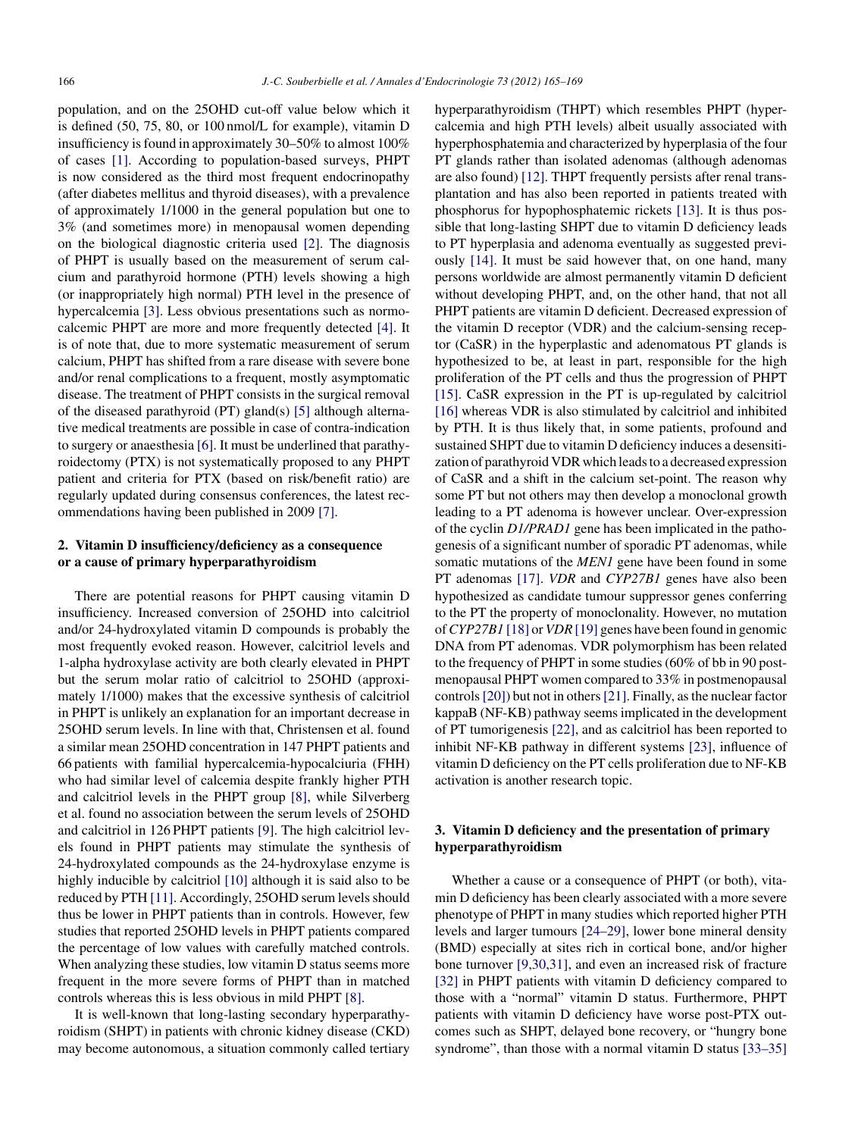population, and on the 25OHD cut-off value below which it is defined (50, 75, 80, or 100 nmol/L for example), vitamin D insufficiency isfound in approximately 30–50% to almost 100% of cases [\[1\].](#page-3-0) According to population-based surveys, PHPT is now considered as the third most frequent endocrinopathy (after diabetes mellitus and thyroid diseases), with a prevalence of approximately 1/1000 in the general population but one to 3% (and sometimes more) in menopausal women depending on the biological diagnostic criteria used [\[2\].](#page-3-0) The diagnosis of PHPT is usually based on the measurement of serum calcium and parathyroid hormone (PTH) levels showing a high (or inappropriately high normal) PTH level in the presence of hypercalcemia [\[3\].](#page-3-0) Less obvious presentations such as normocalcemic PHPT are more and more frequently detected [\[4\].](#page-3-0) It is of note that, due to more systematic measurement of serum calcium, PHPT has shifted from a rare disease with severe bone and/or renal complications to a frequent, mostly asymptomatic disease. The treatment of PHPT consists in the surgical removal of the diseased parathyroid (PT) gland(s) [\[5\]](#page-3-0) although alternative medical treatments are possible in case of contra-indication to surgery or anaesthesia [\[6\].](#page-3-0) It must be underlined that parathyroidectomy (PTX) is not systematically proposed to any PHPT patient and criteria for PTX (based on risk/benefit ratio) are regularly updated during consensus conferences, the latest recommendations having been published in 2009 [\[7\].](#page-3-0)

## **2. Vitamin D insufficiency/deficiency as a consequence or a cause of primary hyperparathyroidism**

There are potential reasons for PHPT causing vitamin D insufficiency. Increased conversion of 25OHD into calcitriol and/or 24-hydroxylated vitamin D compounds is probably the most frequently evoked reason. However, calcitriol levels and 1-alpha hydroxylase activity are both clearly elevated in PHPT but the serum molar ratio of calcitriol to 25OHD (approximately 1/1000) makes that the excessive synthesis of calcitriol in PHPT is unlikely an explanation for an important decrease in 25OHD serum levels. In line with that, Christensen et al. found a similar mean 25OHD concentration in 147 PHPT patients and 66 patients with familial hypercalcemia-hypocalciuria (FHH) who had similar level of calcemia despite frankly higher PTH and calcitriol levels in the PHPT group [\[8\],](#page-3-0) while Silverberg et al. found no association between the serum levels of 25OHD and calcitriol in 126 PHPT patients [\[9\].](#page-3-0) The high calcitriol levels found in PHPT patients may stimulate the synthesis of 24-hydroxylated compounds as the 24-hydroxylase enzyme is highly inducible by calcitriol [\[10\]](#page-3-0) although it is said also to be reduced by PTH [\[11\].](#page-3-0) Accordingly, 25OHD serum levels should thus be lower in PHPT patients than in controls. However, few studies that reported 25OHD levels in PHPT patients compared the percentage of low values with carefully matched controls. When analyzing these studies, low vitamin D status seems more frequent in the more severe forms of PHPT than in matched controls whereas this is less obvious in mild PHPT [\[8\].](#page-3-0)

It is well-known that long-lasting secondary hyperparathyroidism (SHPT) in patients with chronic kidney disease (CKD) may become autonomous, a situation commonly called tertiary hyperparathyroidism (THPT) which resembles PHPT (hypercalcemia and high PTH levels) albeit usually associated with hyperphosphatemia and characterized by hyperplasia of the four PT glands rather than isolated adenomas (although adenomas are also found) [\[12\].](#page-3-0) THPT frequently persists after renal transplantation and has also been reported in patients treated with phosphorus for hypophosphatemic rickets [\[13\].](#page-3-0) It is thus possible that long-lasting SHPT due to vitamin D deficiency leads to PT hyperplasia and adenoma eventually as suggested previously [\[14\].](#page-3-0) It must be said however that, on one hand, many persons worldwide are almost permanently vitamin D deficient without developing PHPT, and, on the other hand, that not all PHPT patients are vitamin D deficient. Decreased expression of the vitamin D receptor (VDR) and the calcium-sensing receptor (CaSR) in the hyperplastic and adenomatous PT glands is hypothesized to be, at least in part, responsible for the high proliferation of the PT cells and thus the progression of PHPT [\[15\].](#page-3-0) CaSR expression in the PT is up-regulated by calcitriol [\[16\]](#page-4-0) whereas VDR is also stimulated by calcitriol and inhibited by PTH. It is thus likely that, in some patients, profound and sustained SHPT due to vitamin D deficiency induces a desensitization of parathyroid VDR which leads to a decreased expression of CaSR and a shift in the calcium set-point. The reason why some PT but not others may then develop a monoclonal growth leading to a PT adenoma is however unclear. Over-expression of the cyclin *D1/PRAD1* gene has been implicated in the pathogenesis of a significant number of sporadic PT adenomas, while somatic mutations of the *MEN1* gene have been found in some PT adenomas [\[17\].](#page-4-0) *VDR* and *CYP27B1* genes have also been hypothesized as candidate tumour suppressor genes conferring to the PT the property of monoclonality. However, no mutation of*CYP27B1* [\[18\]](#page-4-0) or *VDR* [\[19\]](#page-4-0) genes have been found in genomic DNA from PT adenomas. VDR polymorphism has been related to the frequency of PHPT in some studies(60% of bb in 90 postmenopausal PHPT women compared to 33% in postmenopausal controls[\[20\]\)](#page-4-0) but not in others[\[21\].](#page-4-0) Finally, asthe nuclear factor kappaB (NF-KB) pathway seemsimplicated in the development of PT tumorigenesis [\[22\],](#page-4-0) and as calcitriol has been reported to inhibit NF-KB pathway in different systems [\[23\],](#page-4-0) influence of vitamin D deficiency on the PT cells proliferation due to NF-KB activation is another research topic.

# **3. Vitamin D deficiency and the presentation of primary hyperparathyroidism**

Whether a cause or a consequence of PHPT (or both), vitamin D deficiency has been clearly associated with a more severe phenotype of PHPT in many studies which reported higher PTH levels and larger tumours [\[24–29\],](#page-4-0) lower bone mineral density (BMD) especially at sites rich in cortical bone, and/or higher bone turnover [\[9,30,31\],](#page-3-0) and even an increased risk of fracture [\[32\]](#page-4-0) in PHPT patients with vitamin D deficiency compared to those with a "normal" vitamin D status. Furthermore, PHPT patients with vitamin D deficiency have worse post-PTX outcomes such as SHPT, delayed bone recovery, or "hungry bone syndrome", than those with a normal vitamin D status [\[33–35\]](#page-4-0)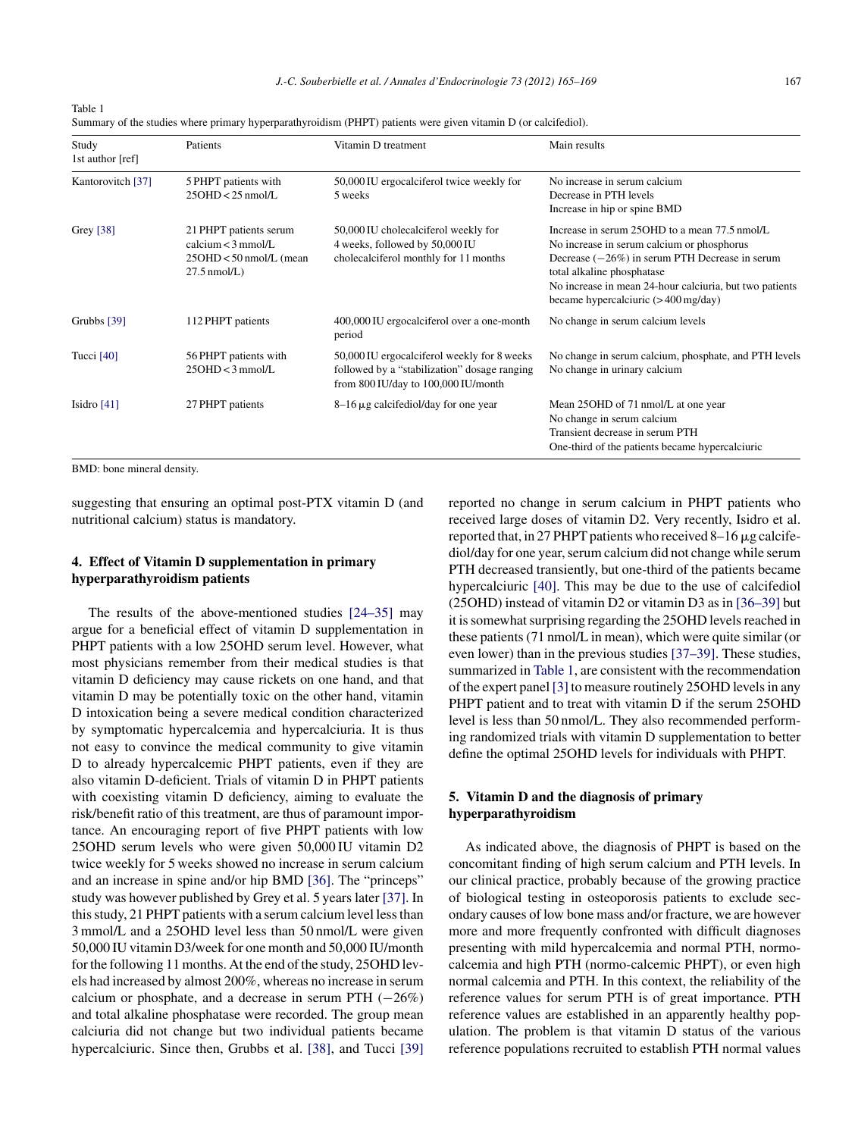| Table 1 |                                                                                                                 |
|---------|-----------------------------------------------------------------------------------------------------------------|
|         | Summary of the studies where primary hyperparathyroidism (PHPT) patients were given vitamin D (or calcifediol). |

| Study<br>1st author [ref] | Patients                                                                                    | Vitamin D treatment                                                                                                                | Main results                                                                                                                                                                                                                                                                               |  |
|---------------------------|---------------------------------------------------------------------------------------------|------------------------------------------------------------------------------------------------------------------------------------|--------------------------------------------------------------------------------------------------------------------------------------------------------------------------------------------------------------------------------------------------------------------------------------------|--|
| Kantorovitch [37]         | 5 PHPT patients with<br>$25OHD < 25$ nmol/L                                                 | 50,000 IU ergocalciferol twice weekly for<br>5 weeks                                                                               | No increase in serum calcium<br>Decrease in PTH levels<br>Increase in hip or spine BMD                                                                                                                                                                                                     |  |
| Grey [38]                 | 21 PHPT patients serum<br>calcium $<$ 3 mmol/L<br>25OHD < 50 nmol/L (mean<br>$27.5$ nmol/L) | 50,000 IU cholecalciferol weekly for<br>4 weeks, followed by 50,000 IU<br>cholecalciferol monthly for 11 months                    | Increase in serum 250HD to a mean 77.5 nmol/L<br>No increase in serum calcium or phosphorus<br>Decrease $(-26%)$ in serum PTH Decrease in serum<br>total alkaline phosphatase<br>No increase in mean 24-hour calciuria, but two patients<br>became hypercalciuric $(> 400 \text{ mg/day})$ |  |
| Grubbs $[39]$             | 112 PHPT patients                                                                           | 400,000 IU ergocalciferol over a one-month<br>period                                                                               | No change in serum calcium levels                                                                                                                                                                                                                                                          |  |
| Tucci $[40]$              | 56 PHPT patients with<br>$25OHD < 3$ mmol/L                                                 | 50,000 IU ergocalciferol weekly for 8 weeks<br>followed by a "stabilization" dosage ranging<br>from 800 IU/day to 100,000 IU/month | No change in serum calcium, phosphate, and PTH levels<br>No change in urinary calcium                                                                                                                                                                                                      |  |
| Isidro $[41]$             | 27 PHPT patients                                                                            | $8-16 \mu$ g calcifediol/day for one year                                                                                          | Mean 25 OHD of 71 nmol/L at one year<br>No change in serum calcium<br>Transient decrease in serum PTH<br>One-third of the patients became hypercalciuric                                                                                                                                   |  |

BMD: bone mineral density.

suggesting that ensuring an optimal post-PTX vitamin D (and nutritional calcium) status is mandatory.

# **4. Effect of Vitamin D supplementation in primary hyperparathyroidism patients**

The results of the above-mentioned studies [\[24–35\]](#page-4-0) may argue for a beneficial effect of vitamin D supplementation in PHPT patients with a low 25OHD serum level. However, what most physicians remember from their medical studies is that vitamin D deficiency may cause rickets on one hand, and that vitamin D may be potentially toxic on the other hand, vitamin D intoxication being a severe medical condition characterized by symptomatic hypercalcemia and hypercalciuria. It is thus not easy to convince the medical community to give vitamin D to already hypercalcemic PHPT patients, even if they are also vitamin D-deficient. Trials of vitamin D in PHPT patients with coexisting vitamin D deficiency, aiming to evaluate the risk/benefit ratio of this treatment, are thus of paramount importance. An encouraging report of five PHPT patients with low 25OHD serum levels who were given 50,000 IU vitamin D2 twice weekly for 5 weeks showed no increase in serum calcium and an increase in spine and/or hip BMD [\[36\].](#page-4-0) The "princeps" study was however published by Grey et al. 5 years later [\[37\].](#page-4-0) In this study, 21 PHPT patients with a serum calcium level less than 3 mmol/L and a 25OHD level less than 50 nmol/L were given 50,000 IU vitamin D3/week for one month and 50,000 IU/month for the following 11 months. At the end of the study, 25OHD levels had increased by almost 200%, whereas no increase in serum calcium or phosphate, and a decrease in serum PTH  $(-26%)$ and total alkaline phosphatase were recorded. The group mean calciuria did not change but two individual patients became hypercalciuric. Since then, Grubbs et al. [\[38\],](#page-4-0) and Tucci [\[39\]](#page-4-0) reported no change in serum calcium in PHPT patients who received large doses of vitamin D2. Very recently, Isidro et al. reported that, in 27 PHPT patients who received 8–16  $\mu$ g calcifediol/day for one year, serum calcium did not change while serum PTH decreased transiently, but one-third of the patients became hypercalciuric [\[40\].](#page-4-0) This may be due to the use of calcifediol (25OHD) instead of vitamin D2 or vitamin D3 as in [\[36–39\]](#page-4-0) but it is somewhat surprising regarding the 25OHD levels reached in these patients(71 nmol/L in mean), which were quite similar (or even lower) than in the previous studies [\[37–39\].](#page-4-0) These studies, summarized in Table 1, are consistent with the recommendation of the expert panel [\[3\]](#page-3-0) to measure routinely 25OHD levelsin any PHPT patient and to treat with vitamin D if the serum 25OHD level is less than 50 nmol/L. They also recommended performing randomized trials with vitamin D supplementation to better define the optimal 25OHD levels for individuals with PHPT.

# **5. Vitamin D and the diagnosis of primary hyperparathyroidism**

As indicated above, the diagnosis of PHPT is based on the concomitant finding of high serum calcium and PTH levels. In our clinical practice, probably because of the growing practice of biological testing in osteoporosis patients to exclude secondary causes of low bone mass and/or fracture, we are however more and more frequently confronted with difficult diagnoses presenting with mild hypercalcemia and normal PTH, normocalcemia and high PTH (normo-calcemic PHPT), or even high normal calcemia and PTH. In this context, the reliability of the reference values for serum PTH is of great importance. PTH reference values are established in an apparently healthy population. The problem is that vitamin D status of the various reference populations recruited to establish PTH normal values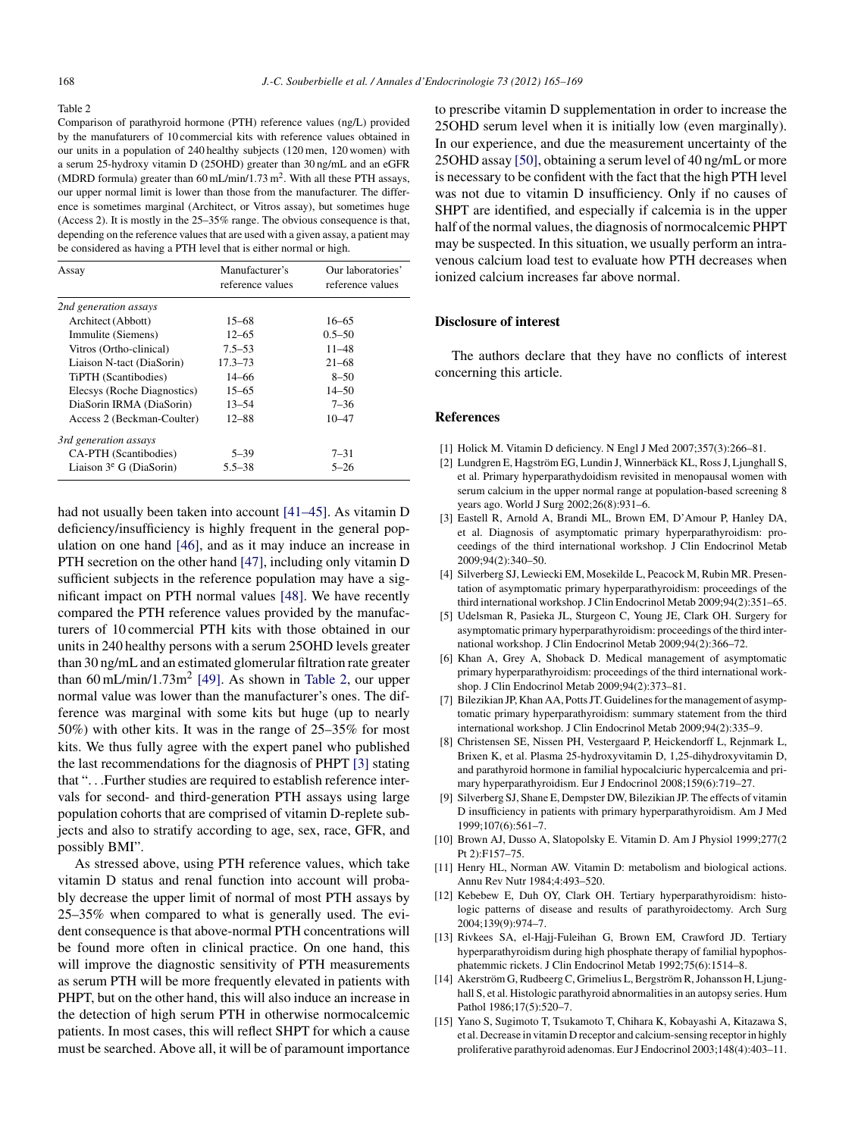#### <span id="page-3-0"></span>Table 2

Comparison of parathyroid hormone (PTH) reference values (ng/L) provided by the manufaturers of 10 commercial kits with reference values obtained in our units in a population of 240 healthy subjects (120 men, 120 women) with a serum 25-hydroxy vitamin D (25OHD) greater than 30 ng/mL and an eGFR (MDRD formula) greater than  $60 \text{ mL/min}/1.73 \text{ m}^2$ . With all these PTH assays, our upper normal limit is lower than those from the manufacturer. The difference is sometimes marginal (Architect, or Vitros assay), but sometimes huge (Access 2). It is mostly in the 25–35% range. The obvious consequence is that, depending on the reference values that are used with a given assay, a patient may be considered as having a PTH level that is either normal or high.

| Assay                       | Manufacturer's<br>reference values | Our laboratories'<br>reference values |
|-----------------------------|------------------------------------|---------------------------------------|
| 2nd generation assays       |                                    |                                       |
| Architect (Abbott)          | $15 - 68$                          | $16 - 65$                             |
| Immulite (Siemens)          | $12 - 65$                          | $0.5 - 50$                            |
| Vitros (Ortho-clinical)     | $7.5 - 53$                         | $11 - 48$                             |
| Liaison N-tact (DiaSorin)   | $17.3 - 73$                        | $21 - 68$                             |
| TiPTH (Scantibodies)        | $14 - 66$                          | $8 - 50$                              |
| Elecsys (Roche Diagnostics) | $15 - 65$                          | $14 - 50$                             |
| DiaSorin IRMA (DiaSorin)    | $13 - 54$                          | $7 - 36$                              |
| Access 2 (Beckman-Coulter)  | 12-88                              | $10 - 47$                             |
| 3rd generation assays       |                                    |                                       |
| CA-PTH (Scantibodies)       | $5 - 39$                           | $7 - 31$                              |
| Liaison $3^e$ G (DiaSorin)  | $5.5 - 38$                         | $5 - 26$                              |

had not usually been taken into account [\[41–45\].](#page-4-0) As vitamin D deficiency/insufficiency is highly frequent in the general population on one hand [\[46\],](#page-4-0) and as it may induce an increase in PTH secretion on the other hand [\[47\],](#page-4-0) including only vitamin D sufficient subjects in the reference population may have a significant impact on PTH normal values [\[48\].](#page-4-0) We have recently compared the PTH reference values provided by the manufacturers of 10 commercial PTH kits with those obtained in our units in 240 healthy persons with a serum 25OHD levels greater than 30 ng/mL and an estimated glomerular filtration rate greater than  $60 \text{ mL/min}/1.73 \text{m}^2$  [\[49\].](#page-4-0) As shown in Table 2, our upper normal value was lower than the manufacturer's ones. The difference was marginal with some kits but huge (up to nearly 50%) with other kits. It was in the range of 25–35% for most kits. We thus fully agree with the expert panel who published the last recommendations for the diagnosis of PHPT [3] stating that ". . .Further studies are required to establish reference intervals for second- and third-generation PTH assays using large population cohorts that are comprised of vitamin D-replete subjects and also to stratify according to age, sex, race, GFR, and possibly BMI".

As stressed above, using PTH reference values, which take vitamin D status and renal function into account will probably decrease the upper limit of normal of most PTH assays by 25–35% when compared to what is generally used. The evident consequence is that above-normal PTH concentrations will be found more often in clinical practice. On one hand, this will improve the diagnostic sensitivity of PTH measurements as serum PTH will be more frequently elevated in patients with PHPT, but on the other hand, this will also induce an increase in the detection of high serum PTH in otherwise normocalcemic patients. In most cases, this will reflect SHPT for which a cause must be searched. Above all, it will be of paramount importance

to prescribe vitamin D supplementation in order to increase the 25OHD serum level when it is initially low (even marginally). In our experience, and due the measurement uncertainty of the 25OHD assay [\[50\],](#page-4-0) obtaining a serum level of 40 ng/mL or more is necessary to be confident with the fact that the high PTH level was not due to vitamin D insufficiency. Only if no causes of SHPT are identified, and especially if calcemia is in the upper half of the normal values, the diagnosis of normocalcemic PHPT may be suspected. In this situation, we usually perform an intravenous calcium load test to evaluate how PTH decreases when ionized calcium increases far above normal.

#### **Disclosure of interest**

The authors declare that they have no conflicts of interest concerning this article.

#### **References**

- [1] Holick M. Vitamin D deficiency. N Engl J Med 2007;357(3):266–81.
- [2] Lundgren E, Hagström EG, Lundin J, Winnerbäck KL, RossJ, Ljunghall S, et al. Primary hyperparathydoidism revisited in menopausal women with serum calcium in the upper normal range at population-based screening 8 years ago. World J Surg 2002;26(8):931–6.
- [3] Eastell R, Arnold A, Brandi ML, Brown EM, D'Amour P, Hanley DA, et al. Diagnosis of asymptomatic primary hyperparathyroidism: proceedings of the third international workshop. J Clin Endocrinol Metab 2009;94(2):340–50.
- [4] Silverberg SJ, Lewiecki EM, Mosekilde L, Peacock M, Rubin MR. Presentation of asymptomatic primary hyperparathyroidism: proceedings of the third international workshop.J Clin Endocrinol Metab 2009;94(2):351–65.
- [5] Udelsman R, Pasieka JL, Sturgeon C, Young JE, Clark OH. Surgery for asymptomatic primary hyperparathyroidism: proceedings of the third international workshop. J Clin Endocrinol Metab 2009;94(2):366–72.
- [6] Khan A, Grey A, Shoback D. Medical management of asymptomatic primary hyperparathyroidism: proceedings of the third international workshop. J Clin Endocrinol Metab 2009;94(2):373–81.
- [7] Bilezikian JP, Khan AA, Potts JT. Guidelines for the management of asymptomatic primary hyperparathyroidism: summary statement from the third international workshop. J Clin Endocrinol Metab 2009;94(2):335–9.
- [8] Christensen SE, Nissen PH, Vestergaard P, Heickendorff L, Rejnmark L, Brixen K, et al. Plasma 25-hydroxyvitamin D, 1,25-dihydroxyvitamin D, and parathyroid hormone in familial hypocalciuric hypercalcemia and primary hyperparathyroidism. Eur J Endocrinol 2008;159(6):719–27.
- [9] Silverberg SJ, Shane E, Dempster DW, Bilezikian JP. The effects of vitamin D insufficiency in patients with primary hyperparathyroidism. Am J Med 1999;107(6):561–7.
- [10] Brown AJ, Dusso A, Slatopolsky E. Vitamin D. Am J Physiol 1999;277(2 Pt 2):F157–75.
- [11] Henry HL, Norman AW. Vitamin D: metabolism and biological actions. Annu Rev Nutr 1984;4:493–520.
- [12] Kebebew E, Duh OY, Clark OH. Tertiary hyperparathyroidism: histologic patterns of disease and results of parathyroidectomy. Arch Surg 2004;139(9):974–7.
- [13] Rivkees SA, el-Hajj-Fuleihan G, Brown EM, Crawford JD. Tertiary hyperparathyroidism during high phosphate therapy of familial hypophosphatemmic rickets. J Clin Endocrinol Metab 1992;75(6):1514–8.
- [14] Akerström G, Rudbeerg C, Grimelius L, Bergström R, Johansson H, Ljunghall S, et al. Histologic parathyroid abnormalities in an autopsy series. Hum Pathol 1986;17(5):520-7.
- [15] Yano S, Sugimoto T, Tsukamoto T, Chihara K, Kobayashi A, Kitazawa S, et al. Decrease in vitamin D receptor and calcium-sensing receptor in highly proliferative parathyroid adenomas. EurJ Endocrinol 2003;148(4):403–11.